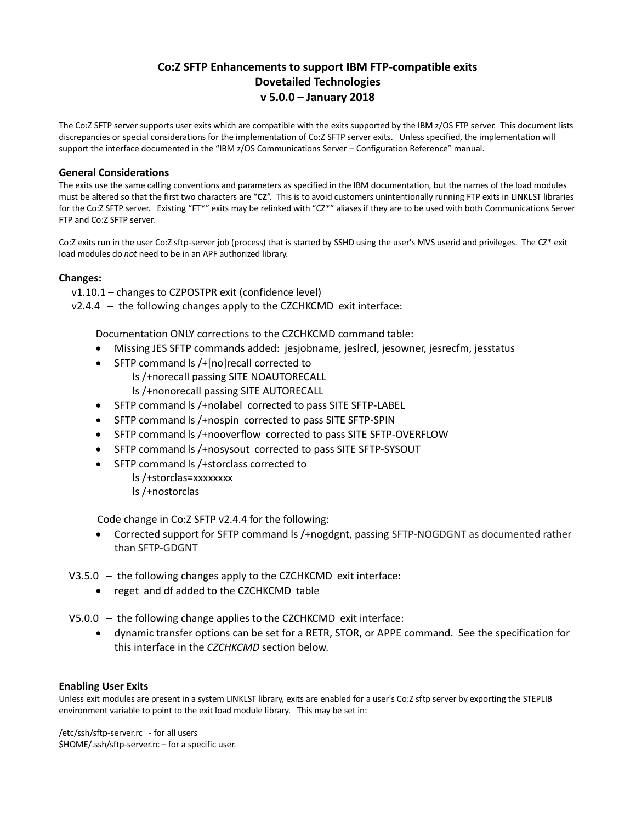### **Co:Z SFTP Enhancements to support IBM FTP-compatible exits Dovetailed Technologies v 5.0.0 – January 2018**

The Co:Z SFTP server supports user exits which are compatible with the exits supported by the IBM z/OS FTP server. This document lists discrepancies or special considerations for the implementation of Co:Z SFTP server exits. Unless specified, the implementation will support the interface documented in the "IBM z/OS Communications Server – Configuration Reference" manual.

#### **General Considerations**

The exits use the same calling conventions and parameters as specified in the IBM documentation, but the names of the load modules must be altered so that the first two characters are "**CZ**". This is to avoid customers unintentionally running FTP exits in LINKLST libraries for the Co:Z SFTP server. Existing "FT\*" exits may be relinked with "CZ\*" aliases if they are to be used with both Communications Server FTP and Co:Z SFTP server.

Co:Z exits run in the user Co:Z sftp-server job (process) that is started by SSHD using the user's MVS userid and privileges. The CZ\* exit load modules do *not* need to be in an APF authorized library.

#### **Changes:**

- v1.10.1 changes to CZPOSTPR exit (confidence level)
- $v2.4.4 -$  the following changes apply to the CZCHKCMD exit interface:

Documentation ONLY corrections to the CZCHKCMD command table:

- Missing JES SFTP commands added: jesjobname, jeslrecl, jesowner, jesrecfm, jesstatus
- SFTP command ls /+[no]recall corrected to
	- ls /+norecall passing SITE NOAUTORECALL
	- ls /+nonorecall passing SITE AUTORECALL
- SFTP command ls /+nolabel corrected to pass SITE SFTP-LABEL
- SFTP command ls /+nospin corrected to pass SITE SFTP-SPIN
- SFTP command ls /+nooverflow corrected to pass SITE SFTP-OVERFLOW
- SFTP command ls /+nosysout corrected to pass SITE SFTP-SYSOUT
- SFTP command ls /+storclass corrected to
	- ls /+storclas=xxxxxxxx
	- ls /+nostorclas

Code change in Co:Z SFTP v2.4.4 for the following:

- Corrected support for SFTP command ls /+nogdgnt, passing SFTP-NOGDGNT as documented rather than SFTP-GDGNT
- V3.5.0 the following changes apply to the CZCHKCMD exit interface:
	- reget and df added to the CZCHKCMD table

V5.0.0 – the following change applies to the CZCHKCMD exit interface:

• dynamic transfer options can be set for a RETR, STOR, or APPE command. See the specification for this interface in the *CZCHKCMD* section below.

#### **Enabling User Exits**

Unless exit modules are present in a system LINKLST library, exits are enabled for a user's Co:Z sftp server by exporting the STEPLIB environment variable to point to the exit load module library. This may be set in:

/etc/ssh/sftp-server.rc - for all users \$HOME/.ssh/sftp-server.rc – for a specific user.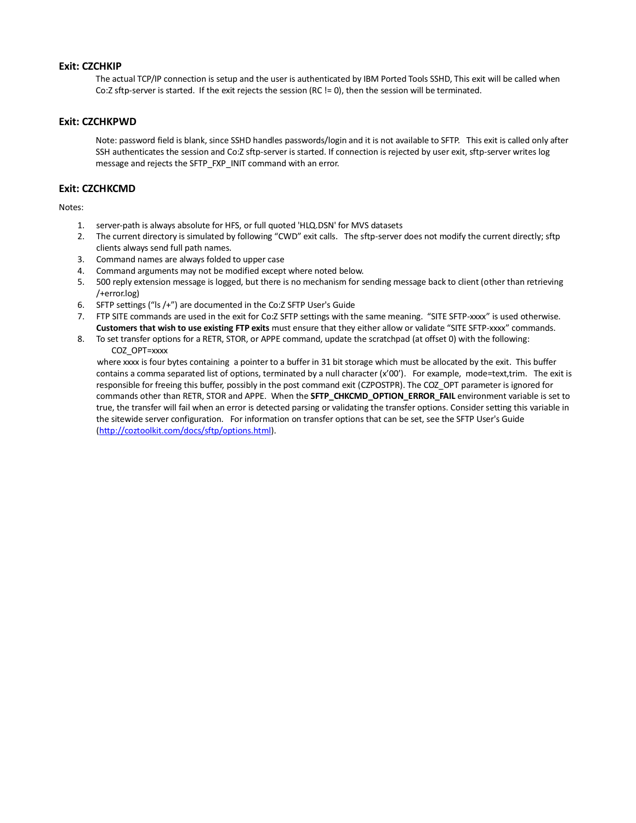#### **Exit: CZCHKIP**

The actual TCP/IP connection is setup and the user is authenticated by IBM Ported Tools SSHD, This exit will be called when Co:Z sftp-server is started. If the exit rejects the session (RC != 0), then the session will be terminated.

#### **Exit: CZCHKPWD**

Note: password field is blank, since SSHD handles passwords/login and it is not available to SFTP. This exit is called only after SSH authenticates the session and Co:Z sftp-server is started. If connection is rejected by user exit, sftp-server writes log message and rejects the SFTP\_FXP\_INIT command with an error.

#### **Exit: CZCHKCMD**

Notes:

- 1. server-path is always absolute for HFS, or full quoted 'HLQ.DSN' for MVS datasets
- 2. The current directory is simulated by following "CWD" exit calls. The sftp-server does not modify the current directly; sftp clients always send full path names.
- 3. Command names are always folded to upper case
- 4. Command arguments may not be modified except where noted below.
- 5. 500 reply extension message is logged, but there is no mechanism for sending message back to client (other than retrieving /+error.log)
- 6. SFTP settings ("ls /+") are documented in the Co:Z SFTP User's Guide
- 7. FTP SITE commands are used in the exit for Co:Z SFTP settings with the same meaning. "SITE SFTP-xxxx" is used otherwise. **Customers that wish to use existing FTP exits** must ensure that they either allow or validate "SITE SFTP-xxxx" commands.
- 8. To set transfer options for a RETR, STOR, or APPE command, update the scratchpad (at offset 0) with the following: COZ\_OPT=xxxx

 where xxxx is four bytes containing a pointer to a buffer in 31 bit storage which must be allocated by the exit. This buffer contains a comma separated list of options, terminated by a null character (x'00'). For example, mode=text,trim. The exit is responsible for freeing this buffer, possibly in the post command exit (CZPOSTPR). The COZ\_OPT parameter is ignored for commands other than RETR, STOR and APPE. When the **SFTP\_CHKCMD\_OPTION\_ERROR\_FAIL** environment variable is set to true, the transfer will fail when an error is detected parsing or validating the transfer options. Consider setting this variable in the sitewide server configuration. For information on transfer options that can be set, see the SFTP User's Guide [\(http://coztoolkit.com/docs/sftp/options.html\)](http://coztoolkit.com/docs/sftp/options.html).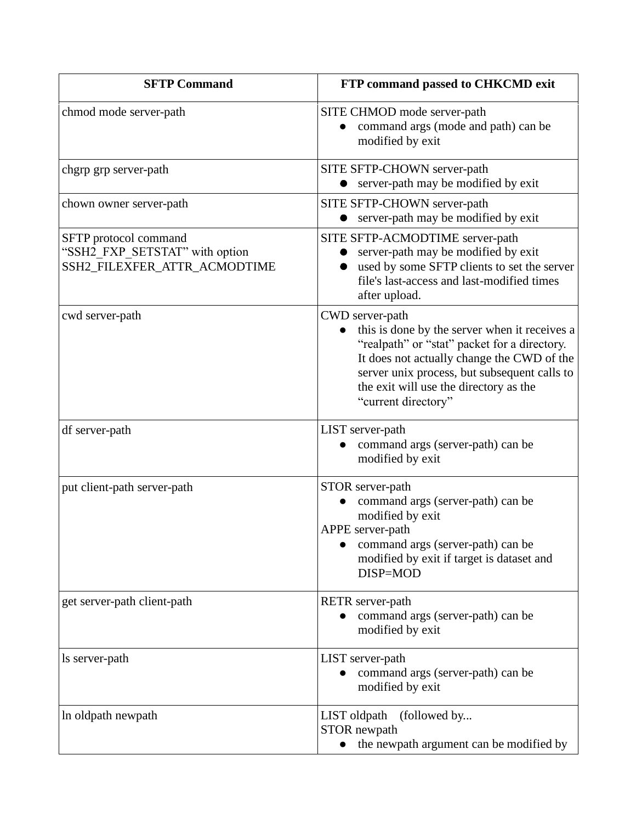| <b>SFTP Command</b>                                                                     | FTP command passed to CHKCMD exit                                                                                                                                                                                                                                               |
|-----------------------------------------------------------------------------------------|---------------------------------------------------------------------------------------------------------------------------------------------------------------------------------------------------------------------------------------------------------------------------------|
| chmod mode server-path                                                                  | SITE CHMOD mode server-path<br>command args (mode and path) can be<br>modified by exit                                                                                                                                                                                          |
| chgrp grp server-path                                                                   | SITE SFTP-CHOWN server-path<br>server-path may be modified by exit                                                                                                                                                                                                              |
| chown owner server-path                                                                 | SITE SFTP-CHOWN server-path<br>server-path may be modified by exit                                                                                                                                                                                                              |
| SFTP protocol command<br>"SSH2_FXP_SETSTAT" with option<br>SSH2_FILEXFER_ATTR_ACMODTIME | SITE SFTP-ACMODTIME server-path<br>server-path may be modified by exit<br>used by some SFTP clients to set the server<br>file's last-access and last-modified times<br>after upload.                                                                                            |
| cwd server-path                                                                         | CWD server-path<br>this is done by the server when it receives a<br>"realpath" or "stat" packet for a directory.<br>It does not actually change the CWD of the<br>server unix process, but subsequent calls to<br>the exit will use the directory as the<br>"current directory" |
| df server-path                                                                          | LIST server-path<br>command args (server-path) can be<br>modified by exit                                                                                                                                                                                                       |
| put client-path server-path                                                             | STOR server-path<br>command args (server-path) can be<br>modified by exit<br>APPE server-path<br>command args (server-path) can be<br>modified by exit if target is dataset and<br>DISP=MOD                                                                                     |
| get server-path client-path                                                             | RETR server-path<br>command args (server-path) can be<br>modified by exit                                                                                                                                                                                                       |
| ls server-path                                                                          | LIST server-path<br>command args (server-path) can be<br>modified by exit                                                                                                                                                                                                       |
| In oldpath newpath                                                                      | LIST oldpath<br>(followed by<br>STOR newpath<br>the newpath argument can be modified by                                                                                                                                                                                         |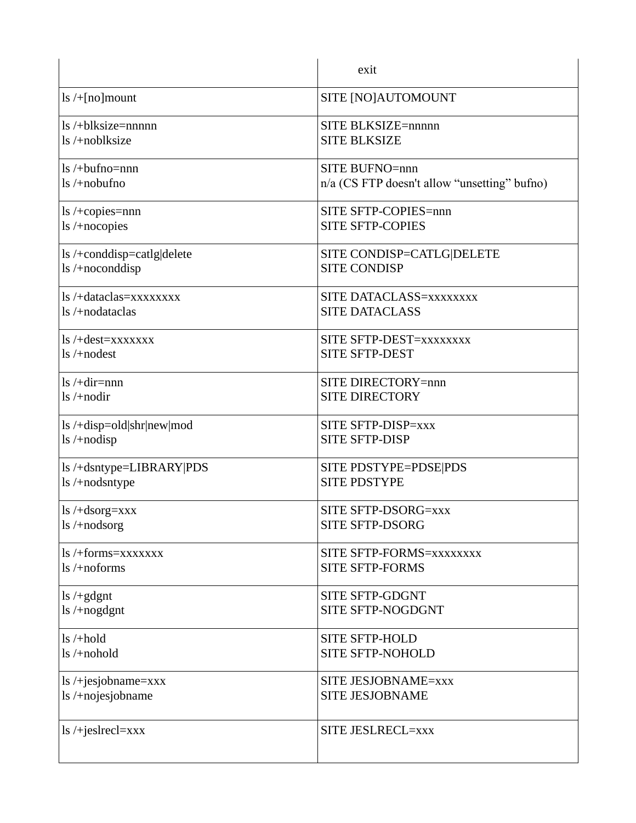|                                      | exit                                         |
|--------------------------------------|----------------------------------------------|
| $\frac{1}{5}$ /+[no] mount           | SITE [NO]AUTOMOUNT                           |
| $\frac{1}{2}$ /+blksize=nnnnn        | SITE BLKSIZE=nnnnn                           |
| $ls$ /+noblksize                     | <b>SITE BLKSIZE</b>                          |
| $ls$ /+bufno=nnn                     | <b>SITE BUFNO=nnn</b>                        |
| $\frac{1}{s}$ /+nobufno              | n/a (CS FTP doesn't allow "unsetting" bufno) |
| ls /+copies=nnn                      | SITE SFTP-COPIES=nnn                         |
| $ls$ /+nocopies                      | <b>SITE SFTP-COPIES</b>                      |
| ls /+conddisp=catlg delete           | SITE CONDISP=CATLG DELETE                    |
| ls/+noconddisp                       | <b>SITE CONDISP</b>                          |
| $\frac{1}{5}$ /+dataclas=xxxxxxxx    | SITE DATACLASS=xxxxxxxx                      |
| $\frac{1}{5}$ /+nodataclas           | <b>SITE DATACLASS</b>                        |
| $\lg$ /+dest=xxxxxxx                 | SITE SFTP-DEST=xxxxxxxx                      |
| $ls$ /+nodest                        | <b>SITE SFTP-DEST</b>                        |
| $\frac{1}{5}$ /+dir=nnn              | SITE DIRECTORY=nnn                           |
| $ls$ /+nodir                         | <b>SITE DIRECTORY</b>                        |
| $\frac{1}{s}$ /+disp=old shr new mod | SITE SFTP-DISP=xxx                           |
| ls /+nodisp                          | <b>SITE SFTP-DISP</b>                        |
| ls/+dsntype=LIBRARY PDS              | SITE PDSTYPE=PDSE PDS                        |
| $ls$ /+nodsntype                     | <b>SITE PDSTYPE</b>                          |
| $ls$ /+dsorg=xxx                     | SITE SFTP-DSORG=xxx                          |
| $\frac{1}{s}$ /+nodsorg              | <b>SITE SFTP-DSORG</b>                       |
| $\frac{1}{5}$ /+forms=xxxxxxx        | SITE SFTP-FORMS=xxxxxxxx                     |
| $\frac{1}{s}$ /+noforms              | <b>SITE SFTP-FORMS</b>                       |
| $\frac{1}{5}$ /+gdgnt                | <b>SITE SFTP-GDGNT</b>                       |
| $\frac{1}{s}$ /+nogdgnt              | SITE SFTP-NOGDGNT                            |
| $ls$ /+hold                          | <b>SITE SFTP-HOLD</b>                        |
| $ls$ /+nohold                        | <b>SITE SFTP-NOHOLD</b>                      |
| $ls$ /+jesjobname=xxx                | SITE JESJOBNAME=xxx                          |
| ls /+nojesjobname                    | <b>SITE JESJOBNAME</b>                       |
| $ls$ /+jeslrecl=xxx                  | SITE JESLRECL=xxx                            |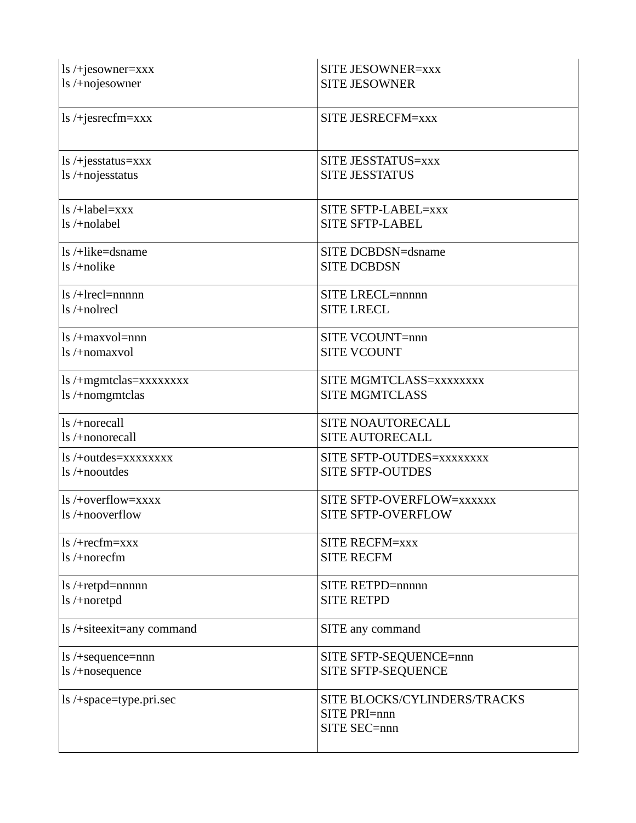| $\frac{1}{s}$ /+jesowner=xxx     | <b>SITE JESOWNER=xxx</b>                                     |
|----------------------------------|--------------------------------------------------------------|
| ls/+nojesowner                   | <b>SITE JESOWNER</b>                                         |
| $ls$ /+jesrecfm=xxx              | SITE JESRECFM=xxx                                            |
| $\frac{1}{s}$ /+jesstatus=xxx    | SITE JESSTATUS=xxx                                           |
| ls /+nojesstatus                 | <b>SITE JESSTATUS</b>                                        |
| $\frac{1}{5}$ /+label=xxx        | SITE SFTP-LABEL=xxx                                          |
| $ls$ /+nolabel                   | <b>SITE SFTP-LABEL</b>                                       |
| $\frac{1}{s}$ /+like=dsname      | SITE DCBDSN=dsname                                           |
| $\frac{1}{s}$ /+nolike           | <b>SITE DCBDSN</b>                                           |
| $\frac{1}{2}$ /+lrecl=nnnnn      | SITE LRECL=nnnnn                                             |
| $ls$ /+nolrecl                   | <b>SITE LRECL</b>                                            |
| $ls /+maxvol =$ nnn              | SITE VCOUNT=nnn                                              |
| ls/+nomaxvol                     | <b>SITE VCOUNT</b>                                           |
| ls /+mgmtclas=xxxxxxxx           | SITE MGMTCLASS=xxxxxxx                                       |
| ls/+nomgmtclas                   | <b>SITE MGMTCLASS</b>                                        |
| $\frac{1}{s}$ /+norecall         | SITE NOAUTORECALL                                            |
| ls /+nonorecall                  | <b>SITE AUTORECALL</b>                                       |
| ls /+outdes=xxxxxxxx             | SITE SFTP-OUTDES=xxxxxxxx                                    |
| $\ln$ /+nooutdes                 | <b>SITE SFTP-OUTDES</b>                                      |
| ls/+overflow=xxxx                | SITE SFTP-OVERFLOW=XXXXXX                                    |
| $\ln$ /+nooverflow               | <b>SITE SFTP-OVERFLOW</b>                                    |
| $\frac{1}{s}$ /+recfm=xxx        | <b>SITE RECFM=xxx</b>                                        |
| $ls /+norecfm$                   | <b>SITE RECFM</b>                                            |
| $ls / + retp$ d=nnnnn            | SITE RETPD=nnnnn                                             |
| ls /+noretpd                     | <b>SITE RETPD</b>                                            |
| ls /+siteexit=any command        | SITE any command                                             |
| $\text{ls}/\text{+sequence=nnn}$ | SITE SFTP-SEQUENCE=nnn                                       |
| ls /+nosequence                  | SITE SFTP-SEQUENCE                                           |
| ls /+space=type.pri.sec          | SITE BLOCKS/CYLINDERS/TRACKS<br>SITE PRI=nnn<br>SITE SEC=nnn |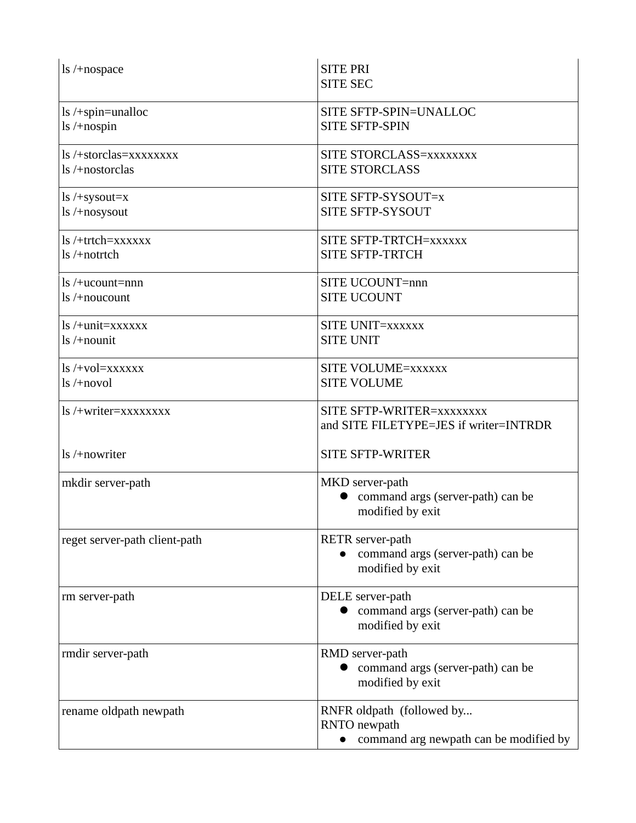| $\ln$ /+nospace                                            | <b>SITE PRI</b><br><b>SITE SEC</b>                                                  |
|------------------------------------------------------------|-------------------------------------------------------------------------------------|
| $\text{ls}/+\text{spin}=\text{unalloc}$<br>$ls / +$ nospin | SITE SFTP-SPIN=UNALLOC<br><b>SITE SFTP-SPIN</b>                                     |
| ls/+storclas=xxxxxxxx<br>ls/+nostorclas                    | SITE STORCLASS=xxxxxxx<br><b>SITE STORCLASS</b>                                     |
| $ls$ /+sysout=x<br>$\frac{1}{s}$ /+nosysout                | SITE SFTP-SYSOUT=x<br>SITE SFTP-SYSOUT                                              |
| $ls /+trtch = xxxxxx$<br>ls /+notrtch                      | SITE SFTP-TRTCH=xxxxxx<br><b>SITE SFTP-TRTCH</b>                                    |
| $ls /+ucount =$ nnn<br>$\frac{1}{s}$ /+noucount            | SITE UCOUNT=nnn<br><b>SITE UCOUNT</b>                                               |
| ls /+unit=xxxxxx<br>$ls /+nounit$                          | SITE UNIT=xxxxxx<br><b>SITE UNIT</b>                                                |
| $\frac{1}{s}$ /+vol=xxxxxx<br>$ls$ /+novol                 | <b>SITE VOLUME=xxxxxx</b><br><b>SITE VOLUME</b>                                     |
| ls /+writer=xxxxxxxx                                       | SITE SFTP-WRITER=xxxxxxxx<br>and SITE FILETYPE=JES if writer=INTRDR                 |
| $\frac{1}{s}$ /+nowriter                                   | <b>SITE SFTP-WRITER</b>                                                             |
| mkdir server-path                                          | MKD server-path<br>command args (server-path) can be<br>modified by exit            |
| reget server-path client-path                              | <b>RETR</b> server-path<br>command args (server-path) can be<br>modified by exit    |
| rm server-path                                             | DELE server-path<br>command args (server-path) can be<br>modified by exit           |
| rmdir server-path                                          | RMD server-path<br>command args (server-path) can be<br>modified by exit            |
| rename oldpath newpath                                     | RNFR oldpath (followed by<br>RNTO newpath<br>command arg newpath can be modified by |